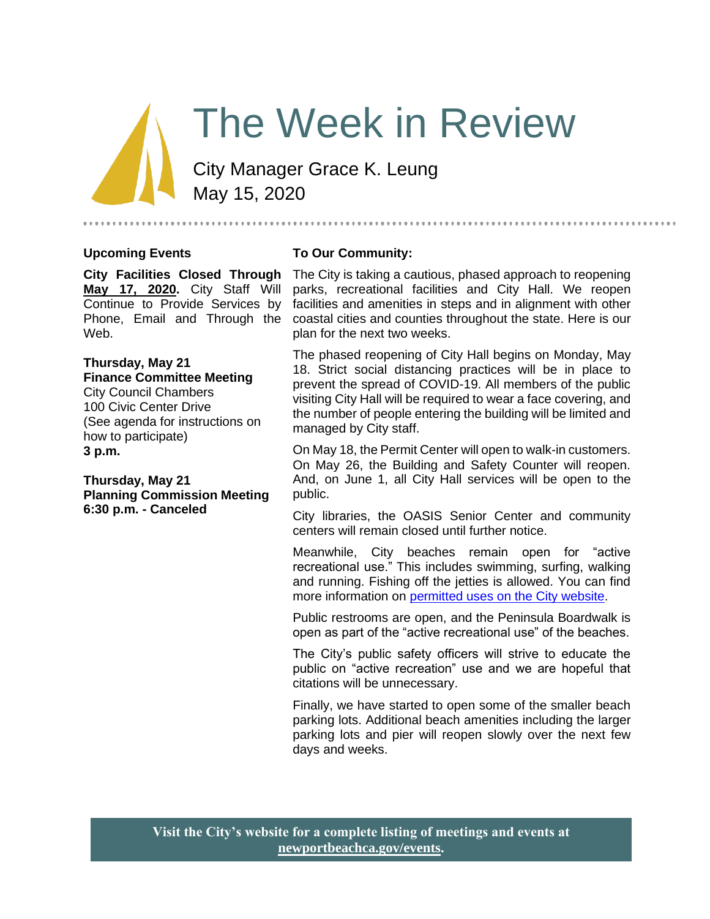# The Week in Review

City Manager Grace K. Leung May 15, 2020

#### **Upcoming Events**

#### **To Our Community:**

**City Facilities Closed Through May 17, 2020.** City Staff Will Continue to Provide Services by Phone, Email and Through the Web.

#### **Thursday, May 21 Finance Committee Meeting**

City Council Chambers 100 Civic Center Drive (See agenda for instructions on how to participate) **3 p.m.**

**Thursday, May 21 Planning Commission Meeting 6:30 p.m. - Canceled**

The City is taking a cautious, phased approach to reopening parks, recreational facilities and City Hall. We reopen facilities and amenities in steps and in alignment with other coastal cities and counties throughout the state. Here is our plan for the next two weeks.

..............................

The phased reopening of City Hall begins on Monday, May 18. Strict social distancing practices will be in place to prevent the spread of COVID-19. All members of the public visiting City Hall will be required to wear a face covering, and the number of people entering the building will be limited and managed by City staff.

On May 18, the Permit Center will open to walk-in customers. On May 26, the Building and Safety Counter will reopen. And, on June 1, all City Hall services will be open to the public.

City libraries, the OASIS Senior Center and community centers will remain closed until further notice.

Meanwhile, City beaches remain open for "active recreational use." This includes swimming, surfing, walking and running. Fishing off the jetties is allowed. You can find more information on [permitted uses on the City website.](https://www.newportbeachca.gov/home/showdocument?id=66813)

Public restrooms are open, and the Peninsula Boardwalk is open as part of the "active recreational use" of the beaches.

The City's public safety officers will strive to educate the public on "active recreation" use and we are hopeful that citations will be unnecessary.

Finally, we have started to open some of the smaller beach parking lots. Additional beach amenities including the larger parking lots and pier will reopen slowly over the next few days and weeks.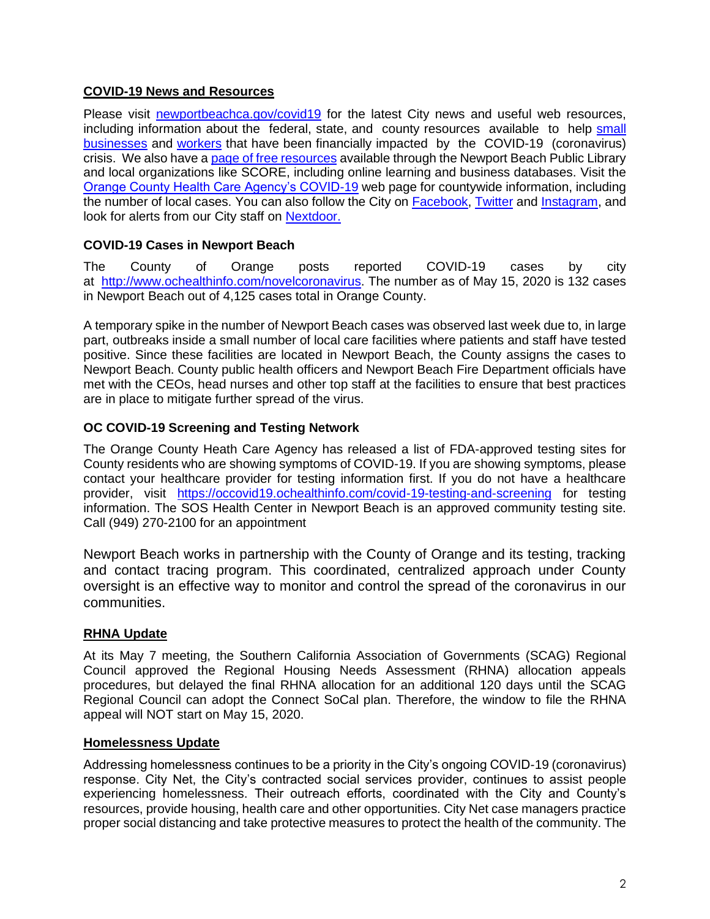# **COVID-19 News and Resources**

Please visit [newportbeachca.gov/covid19](https://www.newportbeachca.gov/how-do-i/find/disaster-preparedness-information/disease-outbreak/-fsiteid-1) for the latest City news and useful web resources, including information about the federal, state, and county resources available to help small [businesses](https://www.newportbeachca.gov/government/departments/city-manager/economic-development/small-business-support) and [workers](https://www.newportbeachca.gov/government/departments/city-manager/economic-development/support-for-employees) that have been financially impacted by the COVID-19 (coronavirus) crisis. We also have a [page of free resources](https://www.newportbeachca.gov/government/departments/city-manager/economic-development/small-business-support/business-employee-resources) available through the Newport Beach Public Library and local organizations like SCORE, including online learning and business databases. Visit the [Orange County Health Care Agency's COVID-19](https://www.ochealthinfo.com/phs/about/epidasmt/epi/dip/prevention/novel_coronavirus) web page for countywide information, including the number of local cases. You can also follow the City on [Facebook,](https://www.facebook.com/pg/CityofNewportBeach) [Twitter](https://twitter.com/newportbeachgov) and [Instagram,](https://www.instagram.com/cityofnewportbeach/) and look for alerts from our City staff on [Nextdoor.](https://nextdoor.com/agency/city-of-newport-beach/?i=ltdytbjdbdkntfqttgcm)

## **COVID-19 Cases in Newport Beach**

The County of Orange posts reported COVID-19 cases by city at [http://www.ochealthinfo.com/novelcoronavirus.](http://www.ochealthinfo.com/novelcoronavirus) The number as of May 15, 2020 is 132 cases in Newport Beach out of 4,125 cases total in Orange County.

A temporary spike in the number of Newport Beach cases was observed last week due to, in large part, outbreaks inside a small number of local care facilities where patients and staff have tested positive. Since these facilities are located in Newport Beach, the County assigns the cases to Newport Beach. County public health officers and Newport Beach Fire Department officials have met with the CEOs, head nurses and other top staff at the facilities to ensure that best practices are in place to mitigate further spread of the virus.

# **OC COVID-19 Screening and Testing Network**

The Orange County Heath Care Agency has released a list of FDA-approved testing sites for County residents who are showing symptoms of COVID-19. If you are showing symptoms, please contact your healthcare provider for testing information first. If you do not have a healthcare provider, visit <https://occovid19.ochealthinfo.com/covid-19-testing-and-screening> for testing information. The SOS Health Center in Newport Beach is an approved community testing site. Call (949) 270-2100 for an appointment

Newport Beach works in partnership with the County of Orange and its testing, tracking and contact tracing program. This coordinated, centralized approach under County oversight is an effective way to monitor and control the spread of the coronavirus in our communities.

# **RHNA Update**

At its May 7 meeting, the Southern California Association of Governments (SCAG) Regional Council approved the Regional Housing Needs Assessment (RHNA) allocation appeals procedures, but delayed the final RHNA allocation for an additional 120 days until the SCAG Regional Council can adopt the Connect SoCal plan. Therefore, the window to file the RHNA appeal will NOT start on May 15, 2020.

## **Homelessness Update**

Addressing homelessness continues to be a priority in the City's ongoing COVID-19 (coronavirus) response. City Net, the City's contracted social services provider, continues to assist people experiencing homelessness. Their outreach efforts, coordinated with the City and County's resources, provide housing, health care and other opportunities. City Net case managers practice proper social distancing and take protective measures to protect the health of the community. The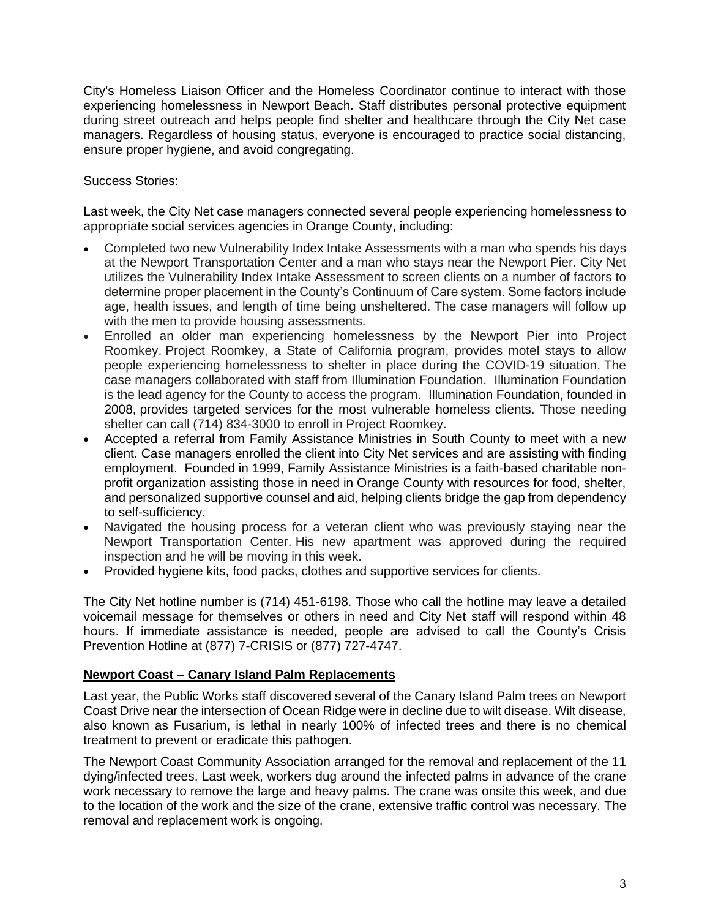City's Homeless Liaison Officer and the Homeless Coordinator continue to interact with those experiencing homelessness in Newport Beach. Staff distributes personal protective equipment during street outreach and helps people find shelter and healthcare through the City Net case managers. Regardless of housing status, everyone is encouraged to practice social distancing, ensure proper hygiene, and avoid congregating.

## Success Stories:

Last week, the City Net case managers connected several people experiencing homelessness to appropriate social services agencies in Orange County, including:

- Completed two new Vulnerability Index Intake Assessments with a man who spends his days at the Newport Transportation Center and a man who stays near the Newport Pier. City Net utilizes the Vulnerability Index Intake Assessment to screen clients on a number of factors to determine proper placement in the County's Continuum of Care system. Some factors include age, health issues, and length of time being unsheltered. The case managers will follow up with the men to provide housing assessments.
- Enrolled an older man experiencing homelessness by the Newport Pier into Project Roomkey. Project Roomkey, a State of California program, provides motel stays to allow people experiencing homelessness to shelter in place during the COVID-19 situation. The case managers collaborated with staff from Illumination Foundation. Illumination Foundation is the lead agency for the County to access the program. Illumination Foundation, founded in 2008, provides targeted services for the most vulnerable homeless clients. Those needing shelter can call (714) 834-3000 to enroll in Project Roomkey.
- Accepted a referral from Family Assistance Ministries in South County to meet with a new client. Case managers enrolled the client into City Net services and are assisting with finding employment. Founded in 1999, Family Assistance Ministries is a faith-based charitable nonprofit organization assisting those in need in Orange County with resources for food, shelter, and personalized supportive counsel and aid, helping clients bridge the gap from dependency to self-sufficiency.
- Navigated the housing process for a veteran client who was previously staying near the Newport Transportation Center. His new apartment was approved during the required inspection and he will be moving in this week.
- Provided hygiene kits, food packs, clothes and supportive services for clients.

The City Net hotline number is (714) 451-6198. Those who call the hotline may leave a detailed voicemail message for themselves or others in need and City Net staff will respond within 48 hours. If immediate assistance is needed, people are advised to call the County's Crisis Prevention Hotline at (877) 7-CRISIS or (877) 727-4747.

## **Newport Coast – Canary Island Palm Replacements**

Last year, the Public Works staff discovered several of the Canary Island Palm trees on Newport Coast Drive near the intersection of Ocean Ridge were in decline due to wilt disease. Wilt disease, also known as Fusarium, is lethal in nearly 100% of infected trees and there is no chemical treatment to prevent or eradicate this pathogen.

The Newport Coast Community Association arranged for the removal and replacement of the 11 dying/infected trees. Last week, workers dug around the infected palms in advance of the crane work necessary to remove the large and heavy palms. The crane was onsite this week, and due to the location of the work and the size of the crane, extensive traffic control was necessary. The removal and replacement work is ongoing.